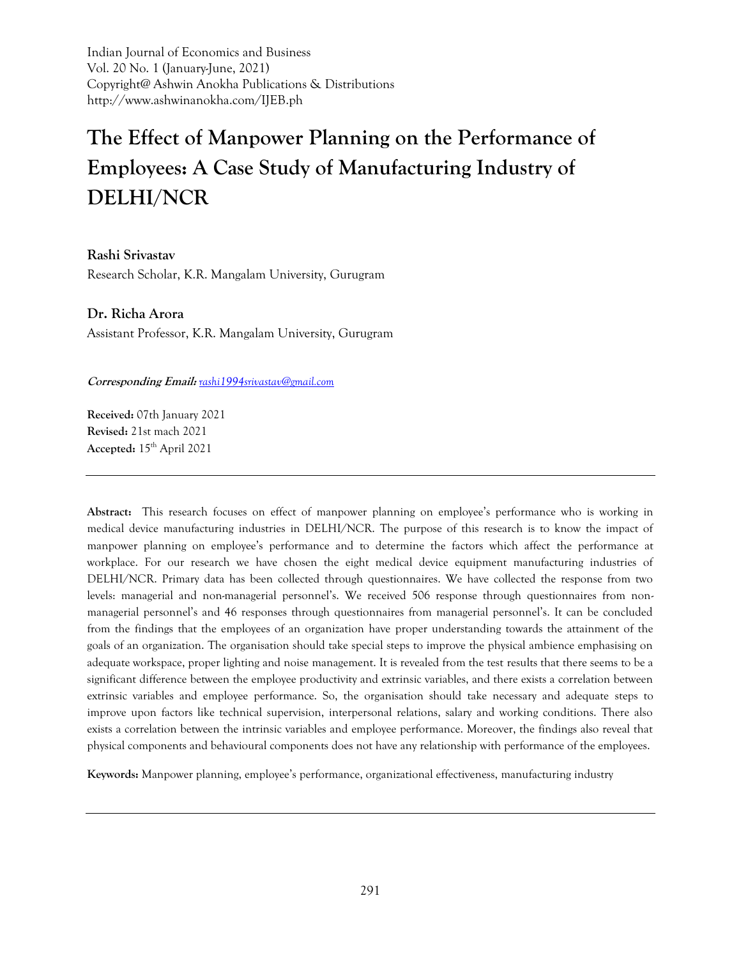Indian Journal of Economics and Business Vol. 20 No. 1 (January-June, 2021) Copyright@ Ashwin Anokha Publications & Distributions http://www.ashwinanokha.com/IJEB.ph

# **The Effect of Manpower Planning on the Performance of Employees: A Case Study of Manufacturing Industry of DELHI/NCR**

**Rashi Srivastav** Research Scholar, K.R. Mangalam University, Gurugram

**Dr. Richa Arora** Assistant Professor, K.R. Mangalam University, Gurugram

**Corresponding Email:** *[rashi1994srivastav@gmail.com](mailto:rashi1994srivastav@gmail.com)*

**Received:** 07th January 2021 **Revised:** 21st mach 2021 **Accepted:** 15th April 2021

**Abstract:** This research focuses on effect of manpower planning on employee's performance who is working in medical device manufacturing industries in DELHI/NCR. The purpose of this research is to know the impact of manpower planning on employee's performance and to determine the factors which affect the performance at workplace. For our research we have chosen the eight medical device equipment manufacturing industries of DELHI/NCR. Primary data has been collected through questionnaires. We have collected the response from two levels: managerial and non-managerial personnel's. We received 506 response through questionnaires from nonmanagerial personnel's and 46 responses through questionnaires from managerial personnel's. It can be concluded from the findings that the employees of an organization have proper understanding towards the attainment of the goals of an organization. The organisation should take special steps to improve the physical ambience emphasising on adequate workspace, proper lighting and noise management. It is revealed from the test results that there seems to be a significant difference between the employee productivity and extrinsic variables, and there exists a correlation between extrinsic variables and employee performance. So, the organisation should take necessary and adequate steps to improve upon factors like technical supervision, interpersonal relations, salary and working conditions. There also exists a correlation between the intrinsic variables and employee performance. Moreover, the findings also reveal that physical components and behavioural components does not have any relationship with performance of the employees.

**Keywords:** Manpower planning, employee's performance, organizational effectiveness, manufacturing industry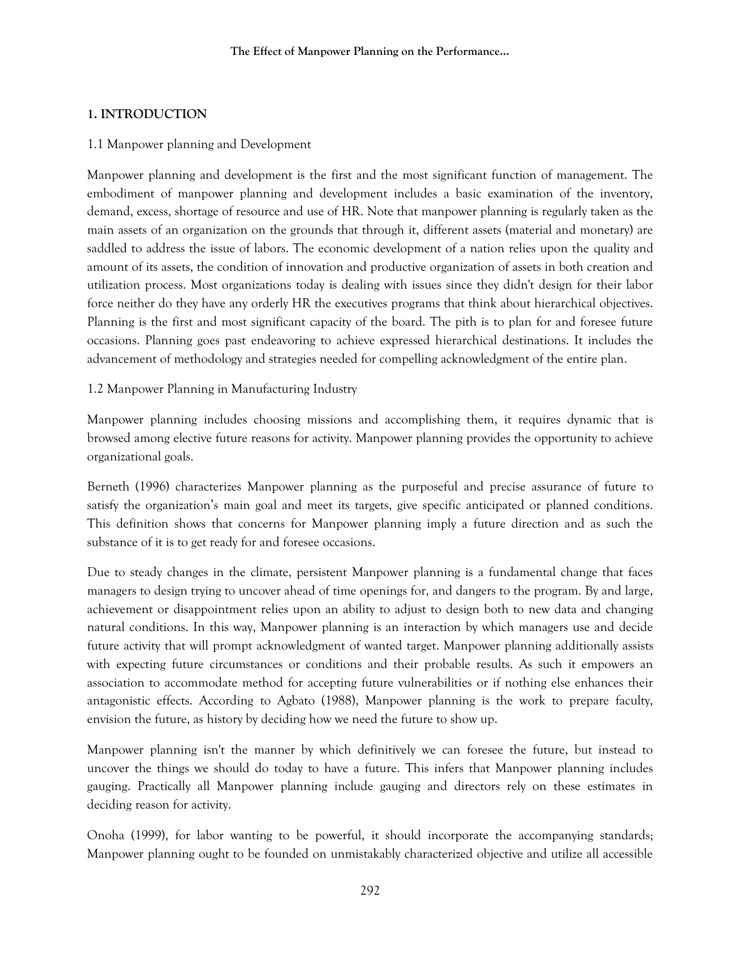#### **1. INTRODUCTION**

#### 1.1 Manpower planning and Development

Manpower planning and development is the first and the most significant function of management. The embodiment of manpower planning and development includes a basic examination of the inventory, demand, excess, shortage of resource and use of HR. Note that manpower planning is regularly taken as the main assets of an organization on the grounds that through it, different assets (material and monetary) are saddled to address the issue of labors. The economic development of a nation relies upon the quality and amount of its assets, the condition of innovation and productive organization of assets in both creation and utilization process. Most organizations today is dealing with issues since they didn't design for their labor force neither do they have any orderly HR the executives programs that think about hierarchical objectives. Planning is the first and most significant capacity of the board. The pith is to plan for and foresee future occasions. Planning goes past endeavoring to achieve expressed hierarchical destinations. It includes the advancement of methodology and strategies needed for compelling acknowledgment of the entire plan.

1.2 Manpower Planning in Manufacturing Industry

Manpower planning includes choosing missions and accomplishing them, it requires dynamic that is browsed among elective future reasons for activity. Manpower planning provides the opportunity to achieve organizational goals.

Berneth (1996) characterizes Manpower planning as the purposeful and precise assurance of future to satisfy the organization's main goal and meet its targets, give specific anticipated or planned conditions. This definition shows that concerns for Manpower planning imply a future direction and as such the substance of it is to get ready for and foresee occasions.

Due to steady changes in the climate, persistent Manpower planning is a fundamental change that faces managers to design trying to uncover ahead of time openings for, and dangers to the program. By and large, achievement or disappointment relies upon an ability to adjust to design both to new data and changing natural conditions. In this way, Manpower planning is an interaction by which managers use and decide future activity that will prompt acknowledgment of wanted target. Manpower planning additionally assists with expecting future circumstances or conditions and their probable results. As such it empowers an association to accommodate method for accepting future vulnerabilities or if nothing else enhances their antagonistic effects. According to Agbato (1988), Manpower planning is the work to prepare faculty, envision the future, as history by deciding how we need the future to show up.

Manpower planning isn't the manner by which definitively we can foresee the future, but instead to uncover the things we should do today to have a future. This infers that Manpower planning includes gauging. Practically all Manpower planning include gauging and directors rely on these estimates in deciding reason for activity.

Onoha (1999), for labor wanting to be powerful, it should incorporate the accompanying standards; Manpower planning ought to be founded on unmistakably characterized objective and utilize all accessible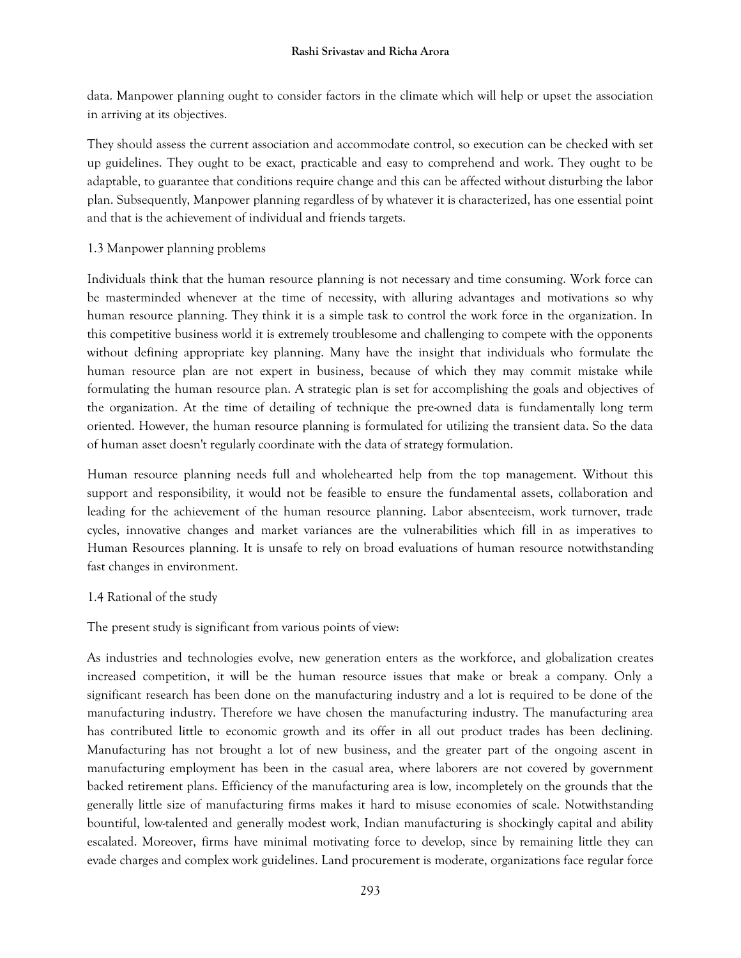data. Manpower planning ought to consider factors in the climate which will help or upset the association in arriving at its objectives.

They should assess the current association and accommodate control, so execution can be checked with set up guidelines. They ought to be exact, practicable and easy to comprehend and work. They ought to be adaptable, to guarantee that conditions require change and this can be affected without disturbing the labor plan. Subsequently, Manpower planning regardless of by whatever it is characterized, has one essential point and that is the achievement of individual and friends targets.

# 1.3 Manpower planning problems

Individuals think that the human resource planning is not necessary and time consuming. Work force can be masterminded whenever at the time of necessity, with alluring advantages and motivations so why human resource planning. They think it is a simple task to control the work force in the organization. In this competitive business world it is extremely troublesome and challenging to compete with the opponents without defining appropriate key planning. Many have the insight that individuals who formulate the human resource plan are not expert in business, because of which they may commit mistake while formulating the human resource plan. A strategic plan is set for accomplishing the goals and objectives of the organization. At the time of detailing of technique the pre-owned data is fundamentally long term oriented. However, the human resource planning is formulated for utilizing the transient data. So the data of human asset doesn't regularly coordinate with the data of strategy formulation.

Human resource planning needs full and wholehearted help from the top management. Without this support and responsibility, it would not be feasible to ensure the fundamental assets, collaboration and leading for the achievement of the human resource planning. Labor absenteeism, work turnover, trade cycles, innovative changes and market variances are the vulnerabilities which fill in as imperatives to Human Resources planning. It is unsafe to rely on broad evaluations of human resource notwithstanding fast changes in environment.

1.4 Rational of the study

The present study is significant from various points of view:

As industries and technologies evolve, new generation enters as the workforce, and globalization creates increased competition, it will be the human resource issues that make or break a company. Only a significant research has been done on the manufacturing industry and a lot is required to be done of the manufacturing industry. Therefore we have chosen the manufacturing industry. The manufacturing area has contributed little to economic growth and its offer in all out product trades has been declining. Manufacturing has not brought a lot of new business, and the greater part of the ongoing ascent in manufacturing employment has been in the casual area, where laborers are not covered by government backed retirement plans. Efficiency of the manufacturing area is low, incompletely on the grounds that the generally little size of manufacturing firms makes it hard to misuse economies of scale. Notwithstanding bountiful, low-talented and generally modest work, Indian manufacturing is shockingly capital and ability escalated. Moreover, firms have minimal motivating force to develop, since by remaining little they can evade charges and complex work guidelines. Land procurement is moderate, organizations face regular force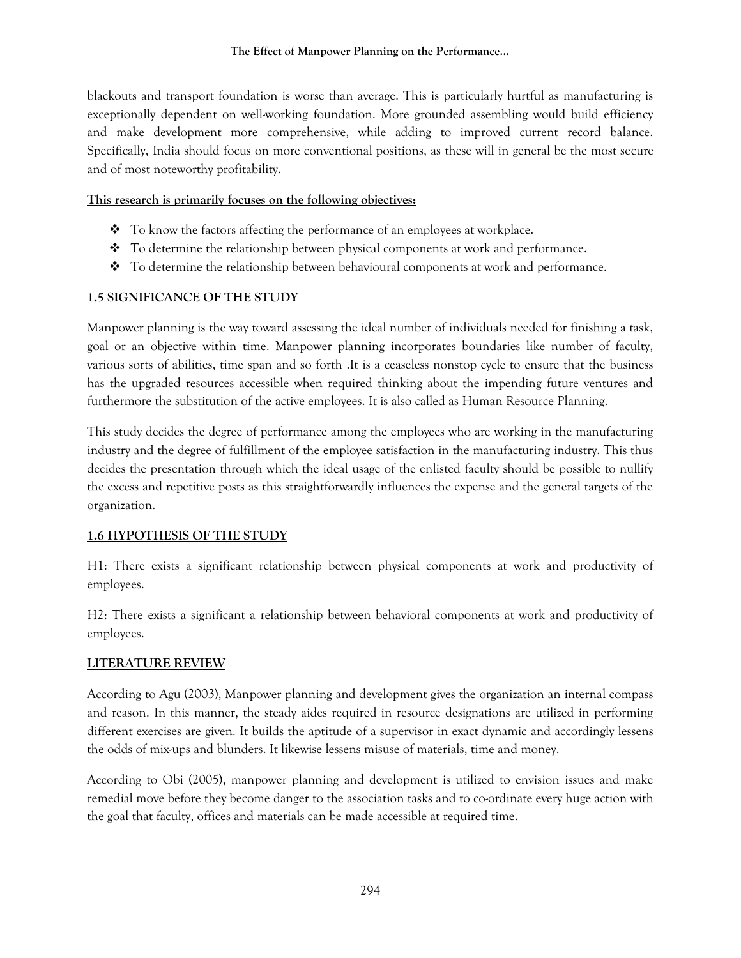blackouts and transport foundation is worse than average. This is particularly hurtful as manufacturing is exceptionally dependent on well-working foundation. More grounded assembling would build efficiency and make development more comprehensive, while adding to improved current record balance. Specifically, India should focus on more conventional positions, as these will in general be the most secure and of most noteworthy profitability.

# **This research is primarily focuses on the following objectives:**

- $\bullet$  To know the factors affecting the performance of an employees at workplace.
- ❖ To determine the relationship between physical components at work and performance.
- ❖ To determine the relationship between behavioural components at work and performance.

# **1.5 SIGNIFICANCE OF THE STUDY**

Manpower planning is the way toward assessing the ideal number of individuals needed for finishing a task, goal or an objective within time. Manpower planning incorporates boundaries like number of faculty, various sorts of abilities, time span and so forth .It is a ceaseless nonstop cycle to ensure that the business has the upgraded resources accessible when required thinking about the impending future ventures and furthermore the substitution of the active employees. It is also called as Human Resource Planning.

This study decides the degree of performance among the employees who are working in the manufacturing industry and the degree of fulfillment of the employee satisfaction in the manufacturing industry. This thus decides the presentation through which the ideal usage of the enlisted faculty should be possible to nullify the excess and repetitive posts as this straightforwardly influences the expense and the general targets of the organization.

# **1.6 HYPOTHESIS OF THE STUDY**

H1: There exists a significant relationship between physical components at work and productivity of employees.

H2: There exists a significant a relationship between behavioral components at work and productivity of employees.

# **LITERATURE REVIEW**

According to Agu (2003), Manpower planning and development gives the organization an internal compass and reason. In this manner, the steady aides required in resource designations are utilized in performing different exercises are given. It builds the aptitude of a supervisor in exact dynamic and accordingly lessens the odds of mix-ups and blunders. It likewise lessens misuse of materials, time and money.

According to Obi (2005), manpower planning and development is utilized to envision issues and make remedial move before they become danger to the association tasks and to co-ordinate every huge action with the goal that faculty, offices and materials can be made accessible at required time.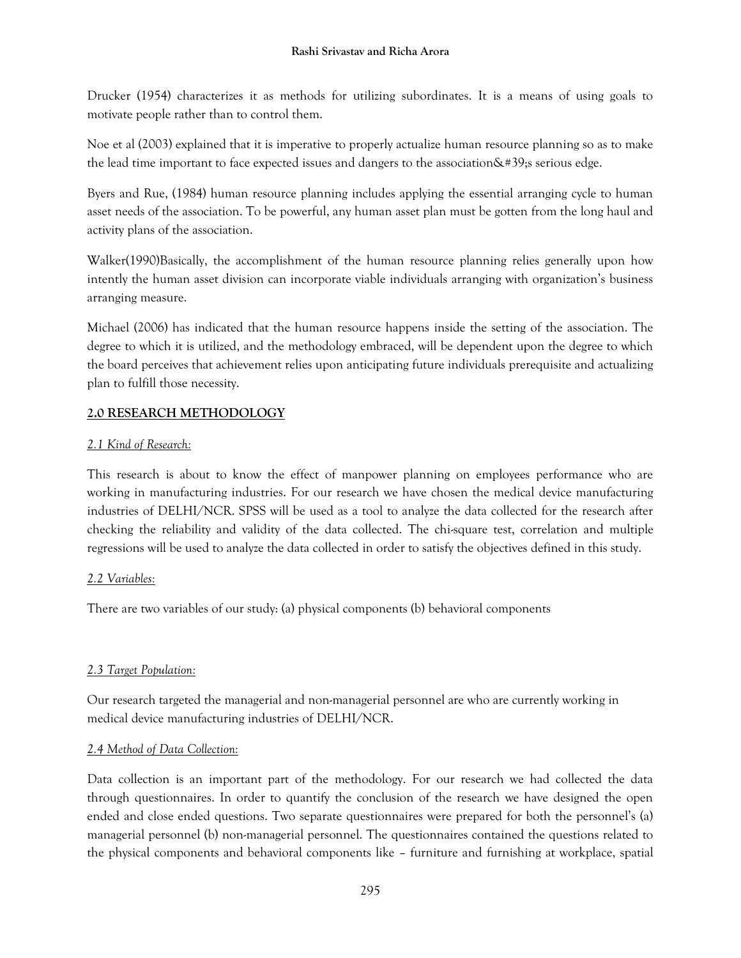Drucker (1954) characterizes it as methods for utilizing subordinates. It is a means of using goals to motivate people rather than to control them.

Noe et al (2003) explained that it is imperative to properly actualize human resource planning so as to make the lead time important to face expected issues and dangers to the association $\&\#39$ ; serious edge.

Byers and Rue, (1984) human resource planning includes applying the essential arranging cycle to human asset needs of the association. To be powerful, any human asset plan must be gotten from the long haul and activity plans of the association.

Walker(1990)Basically, the accomplishment of the human resource planning relies generally upon how intently the human asset division can incorporate viable individuals arranging with organization's business arranging measure.

Michael (2006) has indicated that the human resource happens inside the setting of the association. The degree to which it is utilized, and the methodology embraced, will be dependent upon the degree to which the board perceives that achievement relies upon anticipating future individuals prerequisite and actualizing plan to fulfill those necessity.

# **2.0 RESEARCH METHODOLOGY**

# *2.1 Kind of Research:*

This research is about to know the effect of manpower planning on employees performance who are working in manufacturing industries. For our research we have chosen the medical device manufacturing industries of DELHI/NCR. SPSS will be used as a tool to analyze the data collected for the research after checking the reliability and validity of the data collected. The chi-square test, correlation and multiple regressions will be used to analyze the data collected in order to satisfy the objectives defined in this study.

# *2.2 Variables:*

There are two variables of our study: (a) physical components (b) behavioral components

# *2.3 Target Population:*

Our research targeted the managerial and non-managerial personnel are who are currently working in medical device manufacturing industries of DELHI/NCR.

# *2.4 Method of Data Collection:*

Data collection is an important part of the methodology. For our research we had collected the data through questionnaires. In order to quantify the conclusion of the research we have designed the open ended and close ended questions. Two separate questionnaires were prepared for both the personnel's (a) managerial personnel (b) non-managerial personnel. The questionnaires contained the questions related to the physical components and behavioral components like – furniture and furnishing at workplace, spatial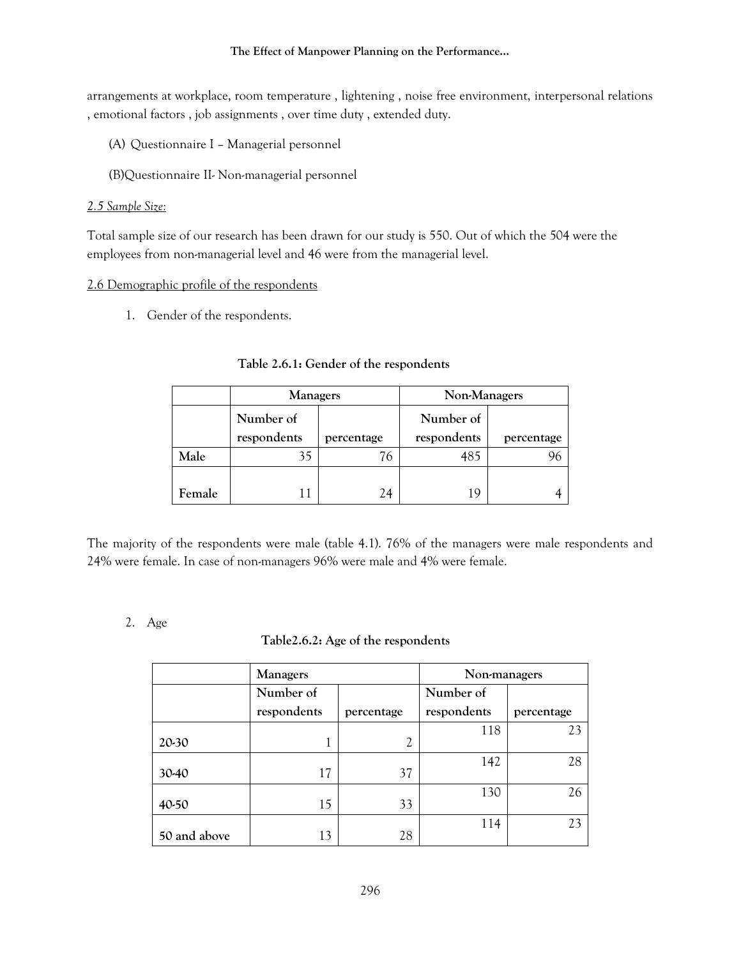#### **The Effect of Manpower Planning on the Performance…**

arrangements at workplace, room temperature , lightening , noise free environment, interpersonal relations , emotional factors , job assignments , over time duty , extended duty.

- (A) Questionnaire I Managerial personnel
- (B)Questionnaire II- Non-managerial personnel

#### *2.5 Sample Size:*

Total sample size of our research has been drawn for our study is 550. Out of which the 504 were the employees from non-managerial level and 46 were from the managerial level.

#### 2.6 Demographic profile of the respondents

1. Gender of the respondents.

|        | <b>Managers</b> |            | Non-Managers |            |
|--------|-----------------|------------|--------------|------------|
|        | Number of       |            | Number of    |            |
|        | respondents     | percentage | respondents  | percentage |
| Male   | 35              | 76         | 485          |            |
|        |                 |            |              |            |
| Female |                 | 24         | 1 Q          |            |

#### **Table 2.6.1: Gender of the respondents**

The majority of the respondents were male (table 4.1). 76% of the managers were male respondents and 24% were female. In case of non-managers 96% were male and 4% were female.

# 2. Age

#### **Table2.6.2: Age of the respondents**

|              | <b>Managers</b> |                | Non-managers |            |  |
|--------------|-----------------|----------------|--------------|------------|--|
|              | Number of       |                | Number of    |            |  |
|              | respondents     | percentage     | respondents  | percentage |  |
| 20-30        | 1               | $\overline{2}$ | 118          | 23         |  |
| 30-40        | 17              | 37             | 142          | 28         |  |
| 40-50        | 15              | 33             | 130          | 26         |  |
| 50 and above | 13              | 28             | 114          | 23         |  |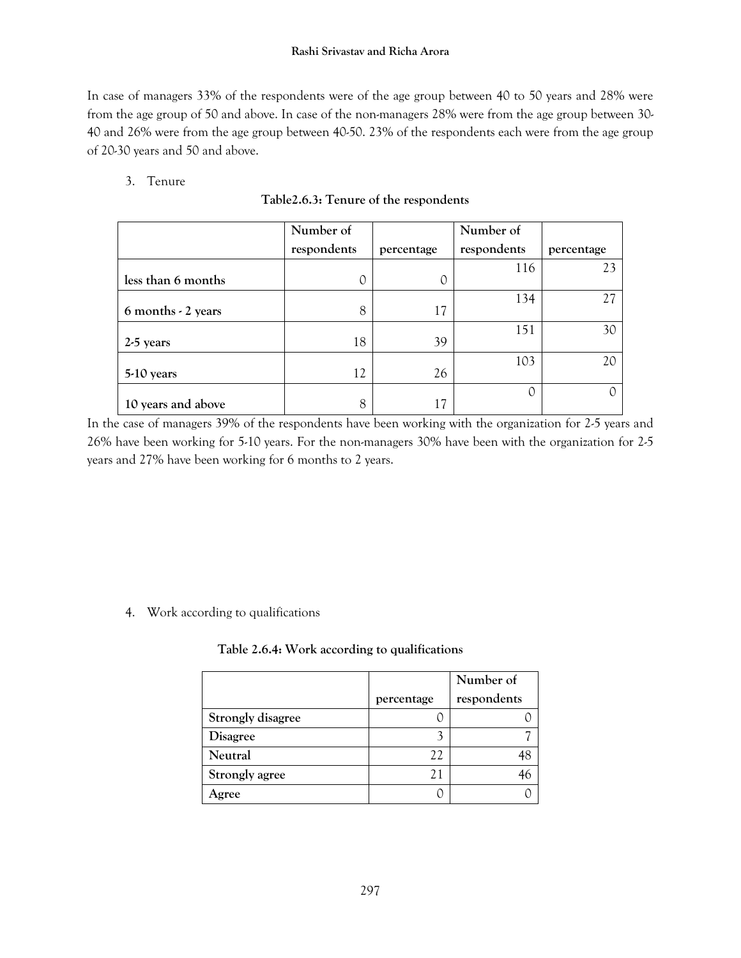In case of managers 33% of the respondents were of the age group between 40 to 50 years and 28% were from the age group of 50 and above. In case of the non-managers 28% were from the age group between 30- 40 and 26% were from the age group between 40-50. 23% of the respondents each were from the age group of 20-30 years and 50 and above.

# 3. Tenure

|                            | Number of   |            | Number of   |            |
|----------------------------|-------------|------------|-------------|------------|
|                            | respondents | percentage | respondents | percentage |
| less than 6 months         | O           | O          | 116         | 23         |
| $6$ months $\cdot$ 2 years | 8           | 17         | 134         | 27         |
| 2-5 years                  | 18          | 39         | 151         | 30         |
| 5-10 years                 | 12          | 26         | 103         | 20         |
| 10 years and above         | 8           | 17         |             |            |

# **Table2.6.3: Tenure of the respondents**

In the case of managers 39% of the respondents have been working with the organization for 2-5 years and 26% have been working for 5-10 years. For the non-managers 30% have been with the organization for 2-5 years and 27% have been working for 6 months to 2 years.

# 4. Work according to qualifications

# **Table 2.6.4: Work according to qualifications**

|                          |            | Number of   |
|--------------------------|------------|-------------|
|                          | percentage | respondents |
| <b>Strongly disagree</b> |            |             |
| <b>Disagree</b>          |            |             |
| Neutral                  | 22         |             |
| Strongly agree           | 21         |             |
| gree                     |            |             |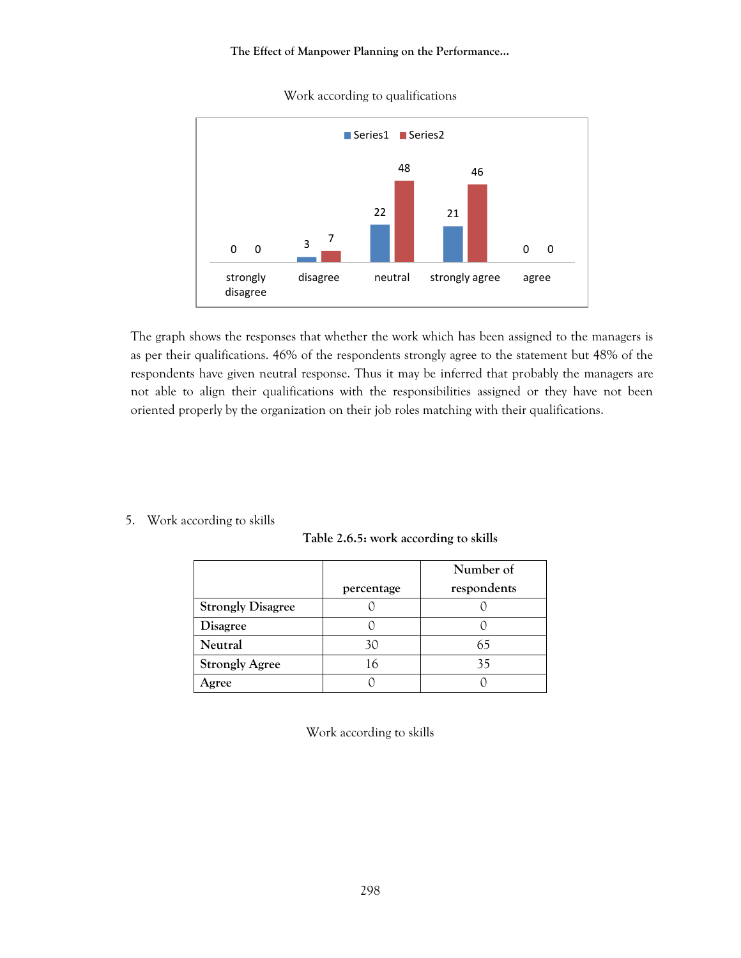#### **The Effect of Manpower Planning on the Performance…**



Work according to qualifications

The graph shows the responses that whether the work which has been assigned to the managers is as per their qualifications. 46% of the respondents strongly agree to the statement but 48% of the respondents have given neutral response. Thus it may be inferred that probably the managers are not able to align their qualifications with the responsibilities assigned or they have not been oriented properly by the organization on their job roles matching with their qualifications.

5. Work according to skills

|  |  |  |  | Table 2.6.5: work according to skills |  |  |
|--|--|--|--|---------------------------------------|--|--|
|--|--|--|--|---------------------------------------|--|--|

|                          |            | Number of   |
|--------------------------|------------|-------------|
|                          | percentage | respondents |
| <b>Strongly Disagree</b> |            |             |
| <b>Disagree</b>          |            |             |
| Neutral                  | 30         |             |
| <b>Strongly Agree</b>    | 16         |             |
| Agree                    |            |             |

Work according to skills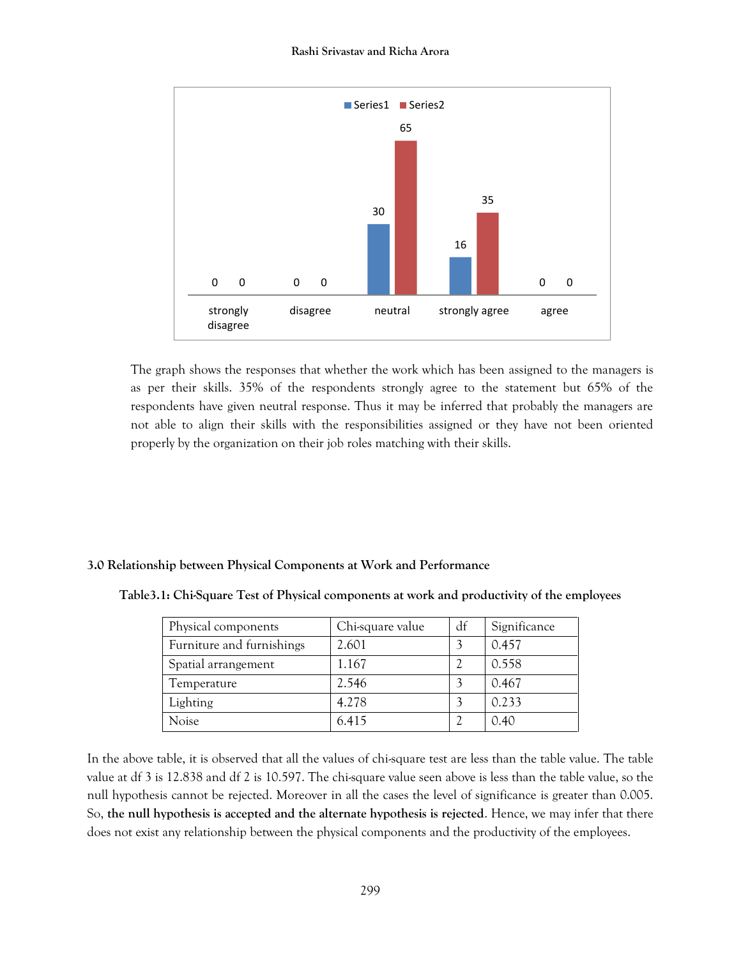

The graph shows the responses that whether the work which has been assigned to the managers is as per their skills. 35% of the respondents strongly agree to the statement but 65% of the respondents have given neutral response. Thus it may be inferred that probably the managers are not able to align their skills with the responsibilities assigned or they have not been oriented properly by the organization on their job roles matching with their skills.

#### **3.0 Relationship between Physical Components at Work and Performance**

| Physical components       | Chi-square value | df | Significance |
|---------------------------|------------------|----|--------------|
| Furniture and furnishings | 2.601            |    | 0.457        |
| Spatial arrangement       | 1.167            |    | 0.558        |
| Temperature               | 2.546            |    | 0.467        |
| Lighting                  | 4.278            |    | 0.233        |
| Noise                     | 6.415            |    | 0.40         |

**Table3.1: Chi-Square Test of Physical components at work and productivity of the employees**

In the above table, it is observed that all the values of chi-square test are less than the table value. The table value at df 3 is 12.838 and df 2 is 10.597. The chi-square value seen above is less than the table value, so the null hypothesis cannot be rejected. Moreover in all the cases the level of significance is greater than 0.005. So, **the null hypothesis is accepted and the alternate hypothesis is rejected**. Hence, we may infer that there does not exist any relationship between the physical components and the productivity of the employees.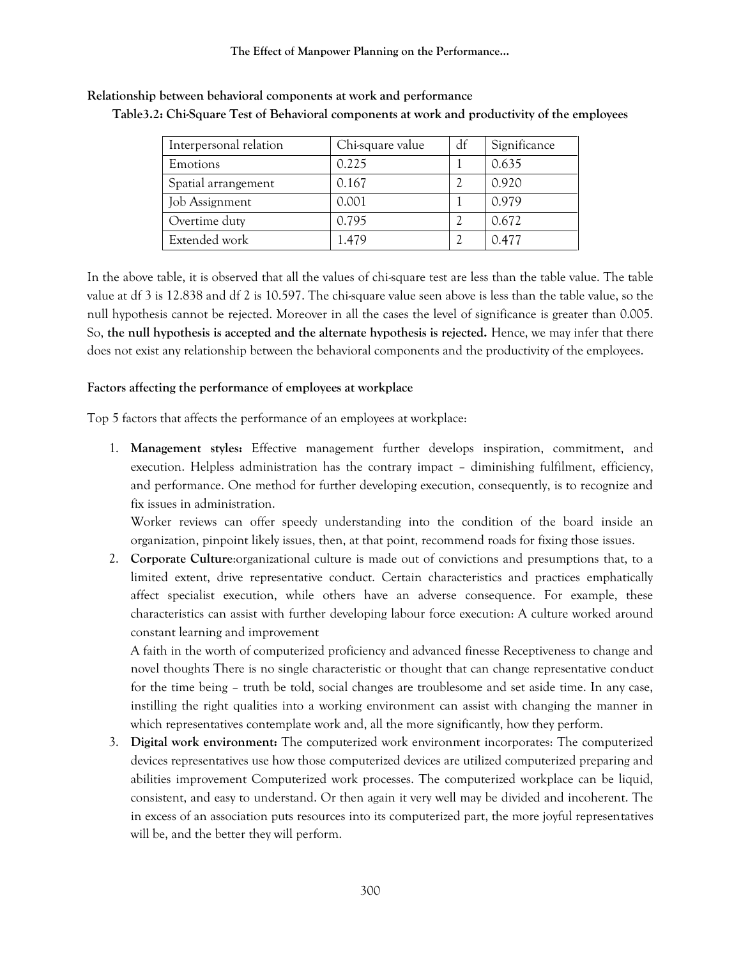| Interpersonal relation | Chi-square value | df | Significance |
|------------------------|------------------|----|--------------|
| <b>Emotions</b>        | 0.225            |    | 0.635        |
| Spatial arrangement    | 0.167            |    | 0.920        |
| Job Assignment         | 0.001            |    | 0.979        |
| Overtime duty          | 0.795            |    | 0.672        |
| Extended work          | 1.479            |    | 0.477        |

**Relationship between behavioral components at work and performance Table3.2: Chi-Square Test of Behavioral components at work and productivity of the employees**

In the above table, it is observed that all the values of chi-square test are less than the table value. The table value at df 3 is 12.838 and df 2 is 10.597. The chi-square value seen above is less than the table value, so the null hypothesis cannot be rejected. Moreover in all the cases the level of significance is greater than 0.005. So, **the null hypothesis is accepted and the alternate hypothesis is rejected.** Hence, we may infer that there does not exist any relationship between the behavioral components and the productivity of the employees.

#### **Factors affecting the performance of employees at workplace**

Top 5 factors that affects the performance of an employees at workplace:

1. **Management styles:** Effective management further develops inspiration, commitment, and execution. Helpless administration has the contrary impact – diminishing fulfilment, efficiency, and performance. One method for further developing execution, consequently, is to recognize and fix issues in administration.

Worker reviews can offer speedy understanding into the condition of the board inside an organization, pinpoint likely issues, then, at that point, recommend roads for fixing those issues.

2. **Corporate Culture**:organizational culture is made out of convictions and presumptions that, to a limited extent, drive representative conduct. Certain characteristics and practices emphatically affect specialist execution, while others have an adverse consequence. For example, these characteristics can assist with further developing labour force execution: A culture worked around constant learning and improvement

A faith in the worth of computerized proficiency and advanced finesse Receptiveness to change and novel thoughts There is no single characteristic or thought that can change representative conduct for the time being – truth be told, social changes are troublesome and set aside time. In any case, instilling the right qualities into a working environment can assist with changing the manner in which representatives contemplate work and, all the more significantly, how they perform.

3. **Digital work environment:** The computerized work environment incorporates: The computerized devices representatives use how those computerized devices are utilized computerized preparing and abilities improvement Computerized work processes. The computerized workplace can be liquid, consistent, and easy to understand. Or then again it very well may be divided and incoherent. The in excess of an association puts resources into its computerized part, the more joyful representatives will be, and the better they will perform.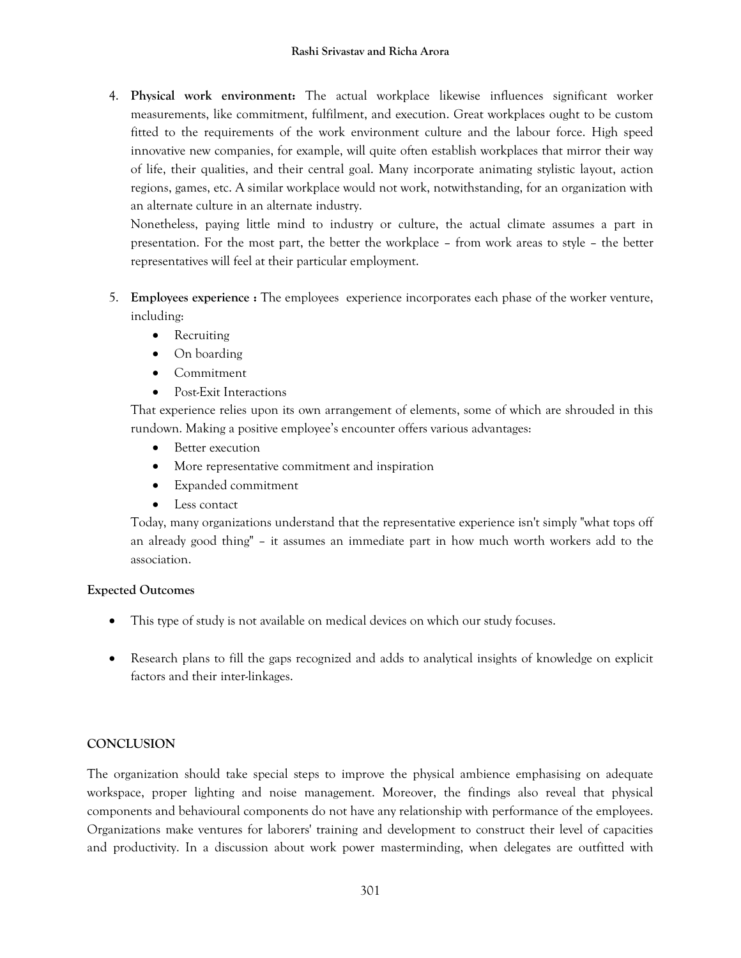4. **Physical work environment:** The actual workplace likewise influences significant worker measurements, like commitment, fulfilment, and execution. Great workplaces ought to be custom fitted to the requirements of the work environment culture and the labour force. High speed innovative new companies, for example, will quite often establish workplaces that mirror their way of life, their qualities, and their central goal. Many incorporate animating stylistic layout, action regions, games, etc. A similar workplace would not work, notwithstanding, for an organization with an alternate culture in an alternate industry.

Nonetheless, paying little mind to industry or culture, the actual climate assumes a part in presentation. For the most part, the better the workplace – from work areas to style – the better representatives will feel at their particular employment.

- 5. **Employees experience :** The employees experience incorporates each phase of the worker venture, including:
	- Recruiting
	- On boarding
	- Commitment
	- Post-Exit Interactions

That experience relies upon its own arrangement of elements, some of which are shrouded in this rundown. Making a positive employee's encounter offers various advantages:

- Better execution
- More representative commitment and inspiration
- Expanded commitment
- Less contact

Today, many organizations understand that the representative experience isn't simply "what tops off an already good thing" – it assumes an immediate part in how much worth workers add to the association.

# **Expected Outcomes**

- This type of study is not available on medical devices on which our study focuses.
- Research plans to fill the gaps recognized and adds to analytical insights of knowledge on explicit factors and their inter-linkages.

# **CONCLUSION**

The organization should take special steps to improve the physical ambience emphasising on adequate workspace, proper lighting and noise management. Moreover, the findings also reveal that physical components and behavioural components do not have any relationship with performance of the employees. Organizations make ventures for laborers' training and development to construct their level of capacities and productivity. In a discussion about work power masterminding, when delegates are outfitted with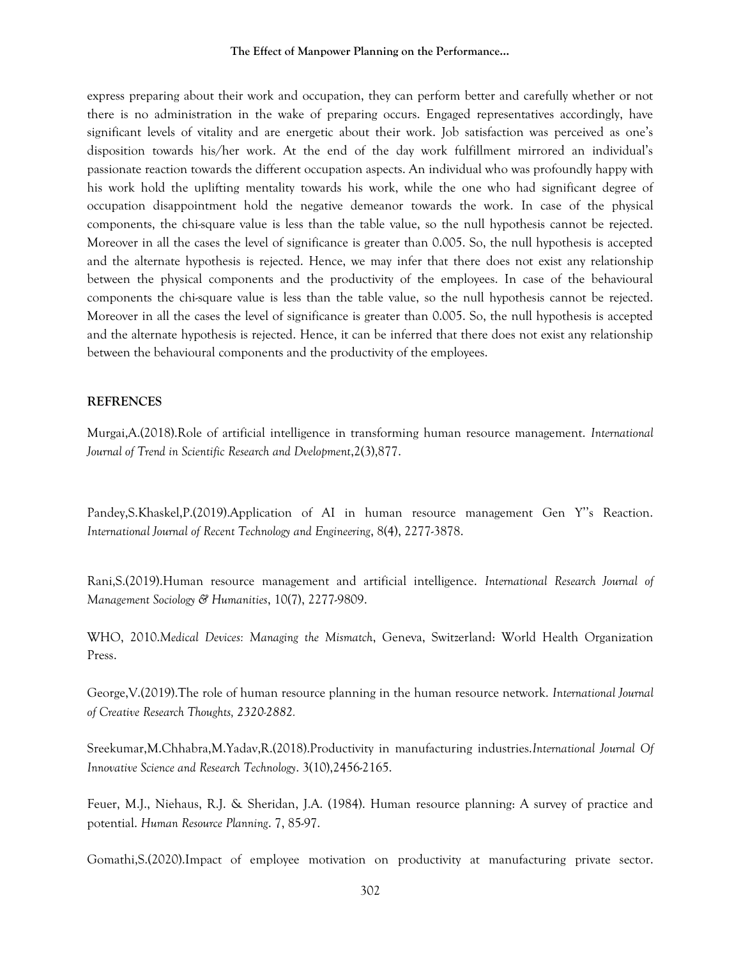#### **The Effect of Manpower Planning on the Performance…**

express preparing about their work and occupation, they can perform better and carefully whether or not there is no administration in the wake of preparing occurs. Engaged representatives accordingly, have significant levels of vitality and are energetic about their work. Job satisfaction was perceived as one's disposition towards his/her work. At the end of the day work fulfillment mirrored an individual's passionate reaction towards the different occupation aspects. An individual who was profoundly happy with his work hold the uplifting mentality towards his work, while the one who had significant degree of occupation disappointment hold the negative demeanor towards the work. In case of the physical components, the chi-square value is less than the table value, so the null hypothesis cannot be rejected. Moreover in all the cases the level of significance is greater than 0.005. So, the null hypothesis is accepted and the alternate hypothesis is rejected. Hence, we may infer that there does not exist any relationship between the physical components and the productivity of the employees. In case of the behavioural components the chi-square value is less than the table value, so the null hypothesis cannot be rejected. Moreover in all the cases the level of significance is greater than 0.005. So, the null hypothesis is accepted and the alternate hypothesis is rejected. Hence, it can be inferred that there does not exist any relationship between the behavioural components and the productivity of the employees.

#### **REFRENCES**

Murgai,A.(2018).Role of artificial intelligence in transforming human resource management. *International Journal of Trend in Scientific Research and Dvelopment*,2(3),877.

Pandey,S.Khaskel,P.(2019).Application of AI in human resource management Gen Y''s Reaction. *International Journal of Recent Technology and Engineering*, 8(4), 2277-3878.

Rani,S.(2019).Human resource management and artificial intelligence. *International Research Journal of Management Sociology & Humanities*, 10(7), 2277-9809.

WHO, 2010.*Medical Devices: Managing the Mismatch*, Geneva, Switzerland: World Health Organization Press.

George,V.(2019).The role of human resource planning in the human resource network. *International Journal of Creative Research Thoughts, 2320-2882.*

Sreekumar,M.Chhabra,M.Yadav,R.(2018).Productivity in manufacturing industries.*International Journal Of Innovative Science and Research Technology*. 3(10),2456-2165.

Feuer, M.J., Niehaus, R.J. & Sheridan, J.A. (1984). Human resource planning: A survey of practice and potential. *Human Resource Planning*. 7, 85-97.

Gomathi,S.(2020).Impact of employee motivation on productivity at manufacturing private sector.